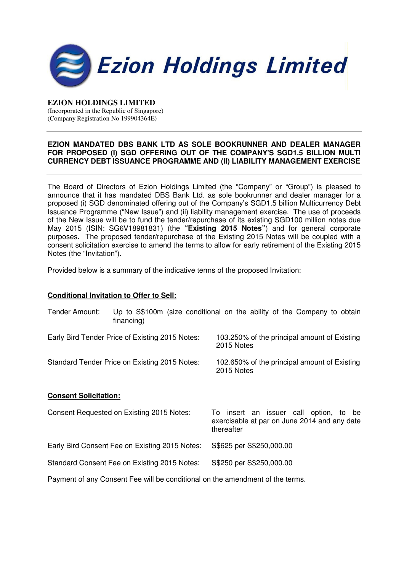

## **EZION HOLDINGS LIMITED**  (Incorporated in the Republic of Singapore) (Company Registration No 199904364E)

## **EZION MANDATED DBS BANK LTD AS SOLE BOOKRUNNER AND DEALER MANAGER**  FOR PROPOSED (I) SGD OFFERING OUT OF THE COMPANY'S SGD1.5 BILLION MULTI **CURRENCY DEBT ISSUANCE PROGRAMME AND (II) LIABILITY MANAGEMENT EXERCISE**

The Board of Directors of Ezion Holdings Limited (the "Company" or "Group") is pleased to announce that it has mandated DBS Bank Ltd. as sole bookrunner and dealer manager for a proposed (i) SGD denominated offering out of the Company's SGD1.5 billion Multicurrency Debt Issuance Programme ("New Issue") and (ii) liability management exercise. The use of proceeds of the New Issue will be to fund the tender/repurchase of its existing SGD100 million notes due May 2015 (ISIN: SG6V18981831) (the **"Existing 2015 Notes"**) and for general corporate purposes. The proposed tender/repurchase of the Existing 2015 Notes will be coupled with a consent solicitation exercise to amend the terms to allow for early retirement of the Existing 2015 Notes (the "Invitation").

Provided below is a summary of the indicative terms of the proposed Invitation:

## **Conditional Invitation to Offer to Sell:**

| Tender Amount:                                  | financing) | Up to S\$100m (size conditional on the ability of the Company to obtain                                 |
|-------------------------------------------------|------------|---------------------------------------------------------------------------------------------------------|
| Early Bird Tender Price of Existing 2015 Notes: |            | 103.250% of the principal amount of Existing<br>2015 Notes                                              |
| Standard Tender Price on Existing 2015 Notes:   |            | 102.650% of the principal amount of Existing<br>2015 Notes                                              |
| <b>Consent Solicitation:</b>                    |            |                                                                                                         |
| Consent Requested on Existing 2015 Notes:       |            | To insert an issuer call option, to<br>be<br>exercisable at par on June 2014 and any date<br>thereafter |
| Early Bird Consent Fee on Existing 2015 Notes:  |            | S\$625 per S\$250,000.00                                                                                |
| Standard Consent Fee on Existing 2015 Notes:    |            | S\$250 per S\$250,000.00                                                                                |
|                                                 |            | Payment of any Consent Fee will be conditional on the amendment of the terms.                           |